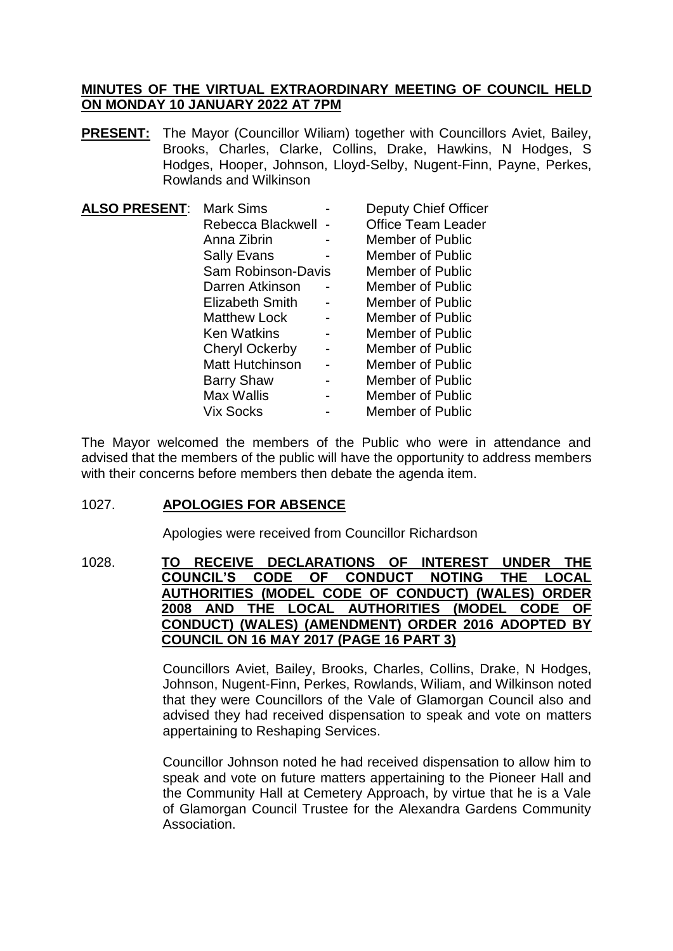# **MINUTES OF THE VIRTUAL EXTRAORDINARY MEETING OF COUNCIL HELD ON MONDAY 10 JANUARY 2022 AT 7PM**

**PRESENT:** The Mayor (Councillor Wiliam) together with Councillors Aviet, Bailey, Brooks, Charles, Clarke, Collins, Drake, Hawkins, N Hodges, S Hodges, Hooper, Johnson, Lloyd-Selby, Nugent-Finn, Payne, Perkes, Rowlands and Wilkinson

| <b>ALSO PRESENT:</b> | <b>Mark Sims</b>          | <b>Deputy Chief Officer</b> |
|----------------------|---------------------------|-----------------------------|
|                      | Rebecca Blackwell         | <b>Office Team Leader</b>   |
|                      | Anna Zibrin               | <b>Member of Public</b>     |
|                      | <b>Sally Evans</b>        | Member of Public            |
|                      | <b>Sam Robinson-Davis</b> | Member of Public            |
|                      | Darren Atkinson           | Member of Public            |
|                      | <b>Elizabeth Smith</b>    | Member of Public            |
|                      | <b>Matthew Lock</b>       | Member of Public            |
|                      | <b>Ken Watkins</b>        | Member of Public            |
|                      | <b>Cheryl Ockerby</b>     | Member of Public            |
|                      | <b>Matt Hutchinson</b>    | Member of Public            |
|                      | <b>Barry Shaw</b>         | Member of Public            |
|                      | Max Wallis                | Member of Public            |
|                      | Vix Socks                 | Member of Public            |
|                      |                           |                             |

The Mayor welcomed the members of the Public who were in attendance and advised that the members of the public will have the opportunity to address members with their concerns before members then debate the agenda item.

# 1027. **APOLOGIES FOR ABSENCE**

Apologies were received from Councillor Richardson

1028. **TO RECEIVE DECLARATIONS OF INTEREST UNDER THE COUNCIL'S CODE OF CONDUCT NOTING THE LOCAL AUTHORITIES (MODEL CODE OF CONDUCT) (WALES) ORDER 2008 AND THE LOCAL AUTHORITIES (MODEL CODE OF CONDUCT) (WALES) (AMENDMENT) ORDER 2016 ADOPTED BY COUNCIL ON 16 MAY 2017 (PAGE 16 PART 3)**

> Councillors Aviet, Bailey, Brooks, Charles, Collins, Drake, N Hodges, Johnson, Nugent-Finn, Perkes, Rowlands, Wiliam, and Wilkinson noted that they were Councillors of the Vale of Glamorgan Council also and advised they had received dispensation to speak and vote on matters appertaining to Reshaping Services.

> Councillor Johnson noted he had received dispensation to allow him to speak and vote on future matters appertaining to the Pioneer Hall and the Community Hall at Cemetery Approach, by virtue that he is a Vale of Glamorgan Council Trustee for the Alexandra Gardens Community Association.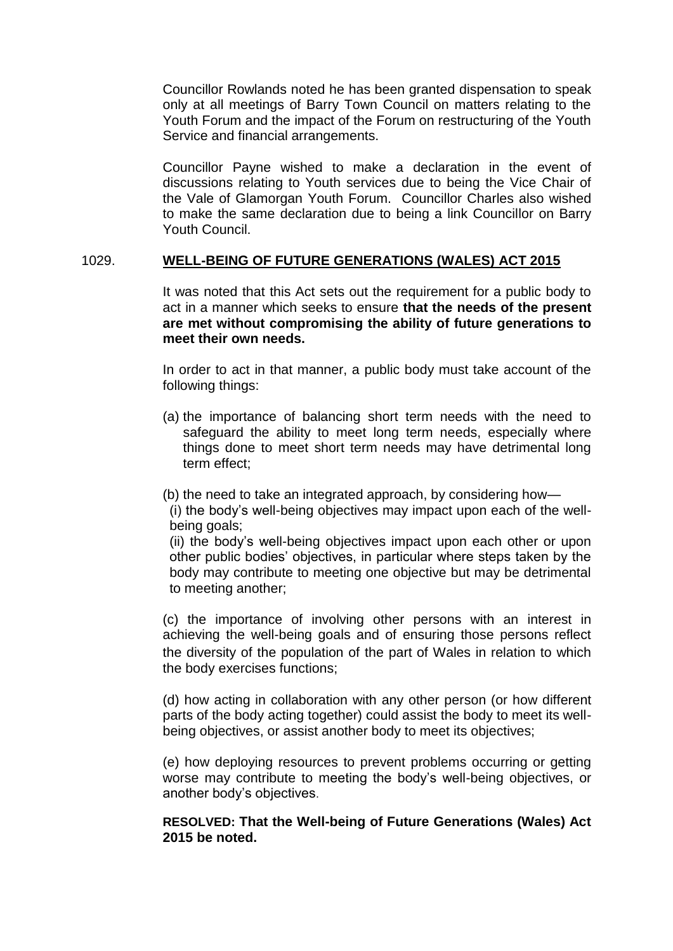Councillor Rowlands noted he has been granted dispensation to speak only at all meetings of Barry Town Council on matters relating to the Youth Forum and the impact of the Forum on restructuring of the Youth Service and financial arrangements.

Councillor Payne wished to make a declaration in the event of discussions relating to Youth services due to being the Vice Chair of the Vale of Glamorgan Youth Forum. Councillor Charles also wished to make the same declaration due to being a link Councillor on Barry Youth Council.

## 1029. **WELL-BEING OF FUTURE GENERATIONS (WALES) ACT 2015**

It was noted that this Act sets out the requirement for a public body to act in a manner which seeks to ensure **that the needs of the present are met without compromising the ability of future generations to meet their own needs.**

In order to act in that manner, a public body must take account of the following things:

- (a) the importance of balancing short term needs with the need to safeguard the ability to meet long term needs, especially where things done to meet short term needs may have detrimental long term effect;
- (b) the need to take an integrated approach, by considering how—

(i) the body's well-being objectives may impact upon each of the wellbeing goals;

(ii) the body's well-being objectives impact upon each other or upon other public bodies' objectives, in particular where steps taken by the body may contribute to meeting one objective but may be detrimental to meeting another;

(c) the importance of involving other persons with an interest in achieving the well-being goals and of ensuring those persons reflect the diversity of the population of the part of Wales in relation to which the body exercises functions;

(d) how acting in collaboration with any other person (or how different parts of the body acting together) could assist the body to meet its wellbeing objectives, or assist another body to meet its objectives;

(e) how deploying resources to prevent problems occurring or getting worse may contribute to meeting the body's well-being objectives, or another body's objectives.

## **RESOLVED: That the Well-being of Future Generations (Wales) Act 2015 be noted.**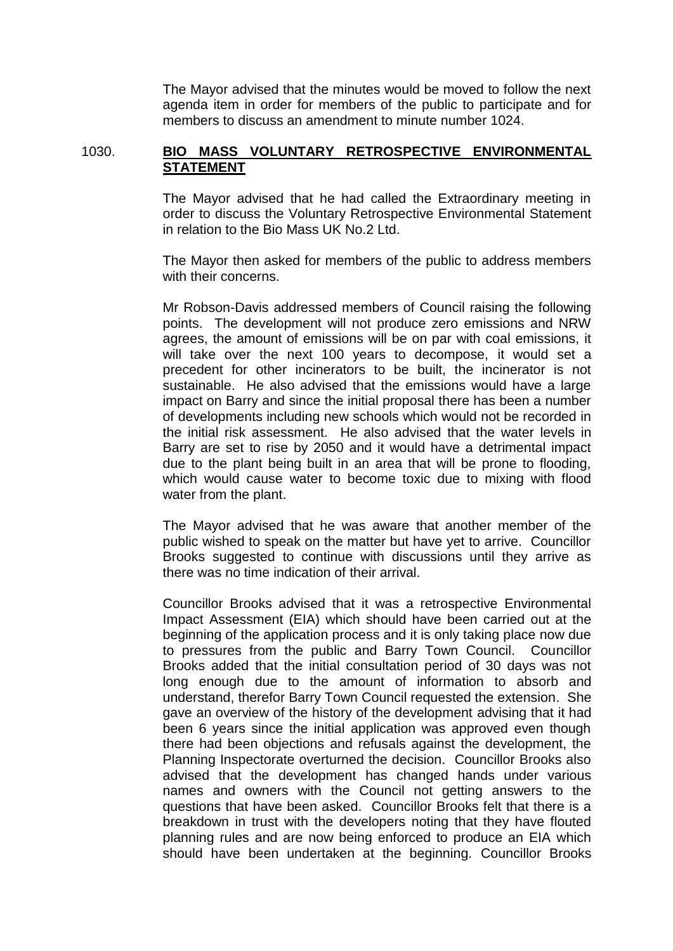The Mayor advised that the minutes would be moved to follow the next agenda item in order for members of the public to participate and for members to discuss an amendment to minute number 1024.

## 1030. **BIO MASS VOLUNTARY RETROSPECTIVE ENVIRONMENTAL STATEMENT**

The Mayor advised that he had called the Extraordinary meeting in order to discuss the Voluntary Retrospective Environmental Statement in relation to the Bio Mass UK No.2 Ltd.

The Mayor then asked for members of the public to address members with their concerns.

Mr Robson-Davis addressed members of Council raising the following points. The development will not produce zero emissions and NRW agrees, the amount of emissions will be on par with coal emissions, it will take over the next 100 years to decompose, it would set a precedent for other incinerators to be built, the incinerator is not sustainable. He also advised that the emissions would have a large impact on Barry and since the initial proposal there has been a number of developments including new schools which would not be recorded in the initial risk assessment. He also advised that the water levels in Barry are set to rise by 2050 and it would have a detrimental impact due to the plant being built in an area that will be prone to flooding, which would cause water to become toxic due to mixing with flood water from the plant.

The Mayor advised that he was aware that another member of the public wished to speak on the matter but have yet to arrive. Councillor Brooks suggested to continue with discussions until they arrive as there was no time indication of their arrival.

Councillor Brooks advised that it was a retrospective Environmental Impact Assessment (EIA) which should have been carried out at the beginning of the application process and it is only taking place now due to pressures from the public and Barry Town Council. Councillor Brooks added that the initial consultation period of 30 days was not long enough due to the amount of information to absorb and understand, therefor Barry Town Council requested the extension. She gave an overview of the history of the development advising that it had been 6 years since the initial application was approved even though there had been objections and refusals against the development, the Planning Inspectorate overturned the decision. Councillor Brooks also advised that the development has changed hands under various names and owners with the Council not getting answers to the questions that have been asked. Councillor Brooks felt that there is a breakdown in trust with the developers noting that they have flouted planning rules and are now being enforced to produce an EIA which should have been undertaken at the beginning. Councillor Brooks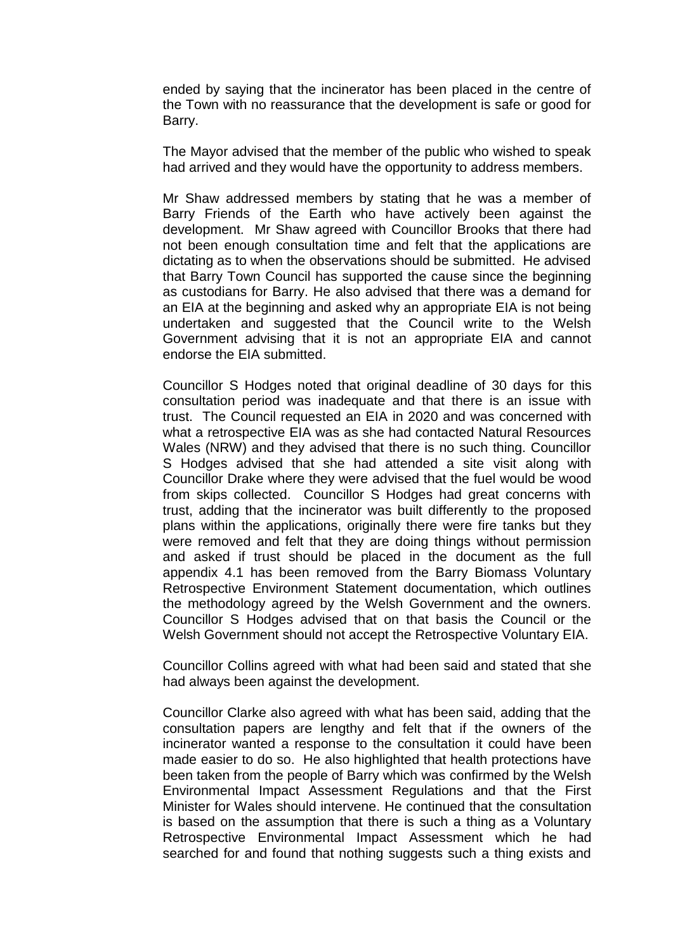ended by saying that the incinerator has been placed in the centre of the Town with no reassurance that the development is safe or good for Barry.

The Mayor advised that the member of the public who wished to speak had arrived and they would have the opportunity to address members.

Mr Shaw addressed members by stating that he was a member of Barry Friends of the Earth who have actively been against the development. Mr Shaw agreed with Councillor Brooks that there had not been enough consultation time and felt that the applications are dictating as to when the observations should be submitted. He advised that Barry Town Council has supported the cause since the beginning as custodians for Barry. He also advised that there was a demand for an EIA at the beginning and asked why an appropriate EIA is not being undertaken and suggested that the Council write to the Welsh Government advising that it is not an appropriate EIA and cannot endorse the EIA submitted.

Councillor S Hodges noted that original deadline of 30 days for this consultation period was inadequate and that there is an issue with trust. The Council requested an EIA in 2020 and was concerned with what a retrospective EIA was as she had contacted Natural Resources Wales (NRW) and they advised that there is no such thing. Councillor S Hodges advised that she had attended a site visit along with Councillor Drake where they were advised that the fuel would be wood from skips collected. Councillor S Hodges had great concerns with trust, adding that the incinerator was built differently to the proposed plans within the applications, originally there were fire tanks but they were removed and felt that they are doing things without permission and asked if trust should be placed in the document as the full appendix 4.1 has been removed from the Barry Biomass Voluntary Retrospective Environment Statement documentation, which outlines the methodology agreed by the Welsh Government and the owners. Councillor S Hodges advised that on that basis the Council or the Welsh Government should not accept the Retrospective Voluntary EIA.

Councillor Collins agreed with what had been said and stated that she had always been against the development.

Councillor Clarke also agreed with what has been said, adding that the consultation papers are lengthy and felt that if the owners of the incinerator wanted a response to the consultation it could have been made easier to do so. He also highlighted that health protections have been taken from the people of Barry which was confirmed by the Welsh Environmental Impact Assessment Regulations and that the First Minister for Wales should intervene. He continued that the consultation is based on the assumption that there is such a thing as a Voluntary Retrospective Environmental Impact Assessment which he had searched for and found that nothing suggests such a thing exists and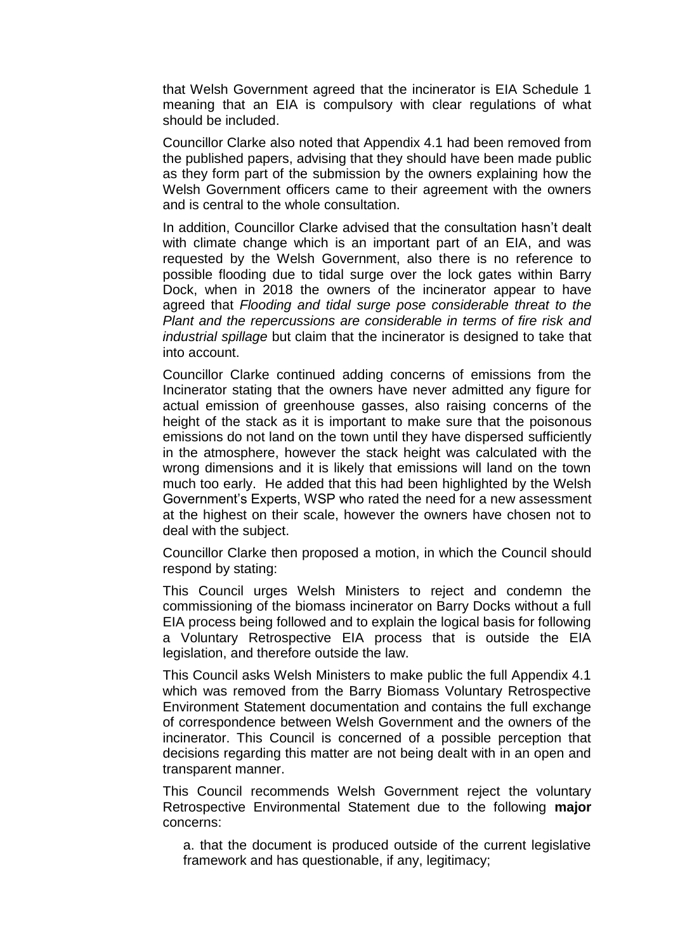that Welsh Government agreed that the incinerator is EIA Schedule 1 meaning that an EIA is compulsory with clear regulations of what should be included.

Councillor Clarke also noted that Appendix 4.1 had been removed from the published papers, advising that they should have been made public as they form part of the submission by the owners explaining how the Welsh Government officers came to their agreement with the owners and is central to the whole consultation.

In addition, Councillor Clarke advised that the consultation hasn't dealt with climate change which is an important part of an EIA, and was requested by the Welsh Government, also there is no reference to possible flooding due to tidal surge over the lock gates within Barry Dock, when in 2018 the owners of the incinerator appear to have agreed that *Flooding and tidal surge pose considerable threat to the Plant and the repercussions are considerable in terms of fire risk and industrial spillage* but claim that the incinerator is designed to take that into account.

Councillor Clarke continued adding concerns of emissions from the Incinerator stating that the owners have never admitted any figure for actual emission of greenhouse gasses, also raising concerns of the height of the stack as it is important to make sure that the poisonous emissions do not land on the town until they have dispersed sufficiently in the atmosphere, however the stack height was calculated with the wrong dimensions and it is likely that emissions will land on the town much too early. He added that this had been highlighted by the Welsh Government's Experts, WSP who rated the need for a new assessment at the highest on their scale, however the owners have chosen not to deal with the subject.

Councillor Clarke then proposed a motion, in which the Council should respond by stating:

This Council urges Welsh Ministers to reject and condemn the commissioning of the biomass incinerator on Barry Docks without a full EIA process being followed and to explain the logical basis for following a Voluntary Retrospective EIA process that is outside the EIA legislation, and therefore outside the law.

This Council asks Welsh Ministers to make public the full Appendix 4.1 which was removed from the Barry Biomass Voluntary Retrospective Environment Statement documentation and contains the full exchange of correspondence between Welsh Government and the owners of the incinerator. This Council is concerned of a possible perception that decisions regarding this matter are not being dealt with in an open and transparent manner.

This Council recommends Welsh Government reject the voluntary Retrospective Environmental Statement due to the following **major** concerns:

a. that the document is produced outside of the current legislative framework and has questionable, if any, legitimacy;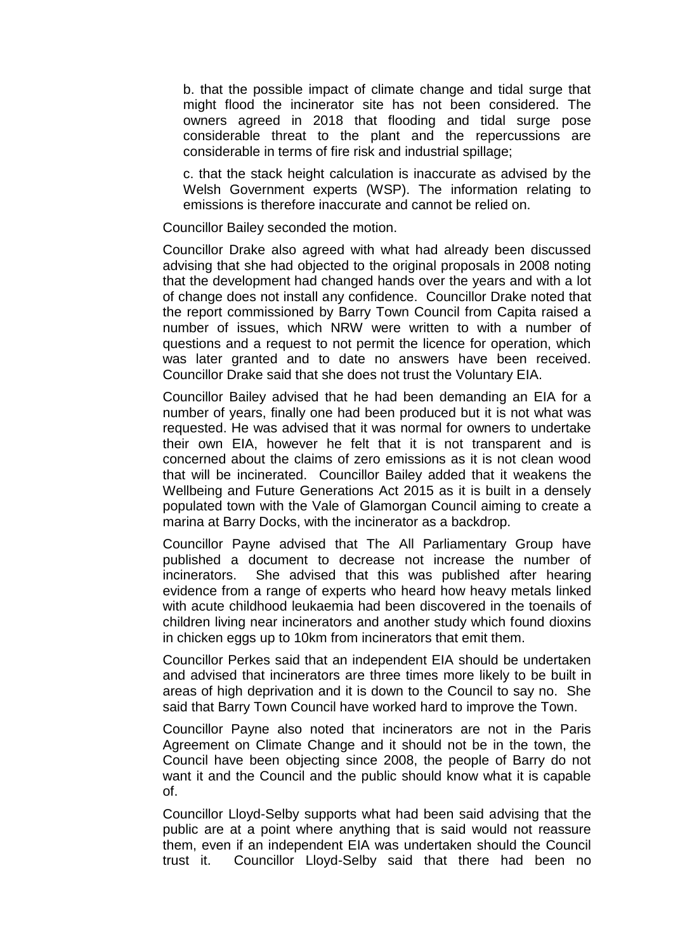b. that the possible impact of climate change and tidal surge that might flood the incinerator site has not been considered. The owners agreed in 2018 that flooding and tidal surge pose considerable threat to the plant and the repercussions are considerable in terms of fire risk and industrial spillage;

c. that the stack height calculation is inaccurate as advised by the Welsh Government experts (WSP). The information relating to emissions is therefore inaccurate and cannot be relied on.

Councillor Bailey seconded the motion.

Councillor Drake also agreed with what had already been discussed advising that she had objected to the original proposals in 2008 noting that the development had changed hands over the years and with a lot of change does not install any confidence. Councillor Drake noted that the report commissioned by Barry Town Council from Capita raised a number of issues, which NRW were written to with a number of questions and a request to not permit the licence for operation, which was later granted and to date no answers have been received. Councillor Drake said that she does not trust the Voluntary EIA.

Councillor Bailey advised that he had been demanding an EIA for a number of years, finally one had been produced but it is not what was requested. He was advised that it was normal for owners to undertake their own EIA, however he felt that it is not transparent and is concerned about the claims of zero emissions as it is not clean wood that will be incinerated. Councillor Bailey added that it weakens the Wellbeing and Future Generations Act 2015 as it is built in a densely populated town with the Vale of Glamorgan Council aiming to create a marina at Barry Docks, with the incinerator as a backdrop.

Councillor Payne advised that The All Parliamentary Group have published a document to decrease not increase the number of incinerators. She advised that this was published after hearing evidence from a range of experts who heard how heavy metals linked with acute childhood leukaemia had been discovered in the toenails of children living near incinerators and another study which found dioxins in chicken eggs up to 10km from incinerators that emit them.

Councillor Perkes said that an independent EIA should be undertaken and advised that incinerators are three times more likely to be built in areas of high deprivation and it is down to the Council to say no. She said that Barry Town Council have worked hard to improve the Town.

Councillor Payne also noted that incinerators are not in the Paris Agreement on Climate Change and it should not be in the town, the Council have been objecting since 2008, the people of Barry do not want it and the Council and the public should know what it is capable of.

Councillor Lloyd-Selby supports what had been said advising that the public are at a point where anything that is said would not reassure them, even if an independent EIA was undertaken should the Council trust it. Councillor Lloyd-Selby said that there had been no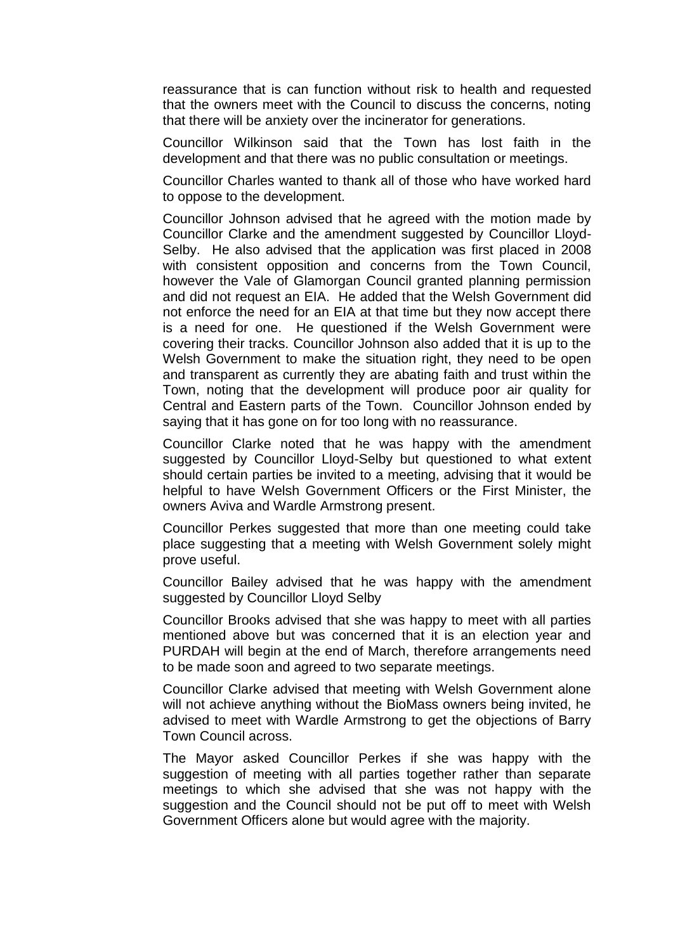reassurance that is can function without risk to health and requested that the owners meet with the Council to discuss the concerns, noting that there will be anxiety over the incinerator for generations.

Councillor Wilkinson said that the Town has lost faith in the development and that there was no public consultation or meetings.

Councillor Charles wanted to thank all of those who have worked hard to oppose to the development.

Councillor Johnson advised that he agreed with the motion made by Councillor Clarke and the amendment suggested by Councillor Lloyd-Selby. He also advised that the application was first placed in 2008 with consistent opposition and concerns from the Town Council, however the Vale of Glamorgan Council granted planning permission and did not request an EIA. He added that the Welsh Government did not enforce the need for an EIA at that time but they now accept there is a need for one. He questioned if the Welsh Government were covering their tracks. Councillor Johnson also added that it is up to the Welsh Government to make the situation right, they need to be open and transparent as currently they are abating faith and trust within the Town, noting that the development will produce poor air quality for Central and Eastern parts of the Town. Councillor Johnson ended by saying that it has gone on for too long with no reassurance.

Councillor Clarke noted that he was happy with the amendment suggested by Councillor Lloyd-Selby but questioned to what extent should certain parties be invited to a meeting, advising that it would be helpful to have Welsh Government Officers or the First Minister, the owners Aviva and Wardle Armstrong present.

Councillor Perkes suggested that more than one meeting could take place suggesting that a meeting with Welsh Government solely might prove useful.

Councillor Bailey advised that he was happy with the amendment suggested by Councillor Lloyd Selby

Councillor Brooks advised that she was happy to meet with all parties mentioned above but was concerned that it is an election year and PURDAH will begin at the end of March, therefore arrangements need to be made soon and agreed to two separate meetings.

Councillor Clarke advised that meeting with Welsh Government alone will not achieve anything without the BioMass owners being invited, he advised to meet with Wardle Armstrong to get the objections of Barry Town Council across.

The Mayor asked Councillor Perkes if she was happy with the suggestion of meeting with all parties together rather than separate meetings to which she advised that she was not happy with the suggestion and the Council should not be put off to meet with Welsh Government Officers alone but would agree with the majority.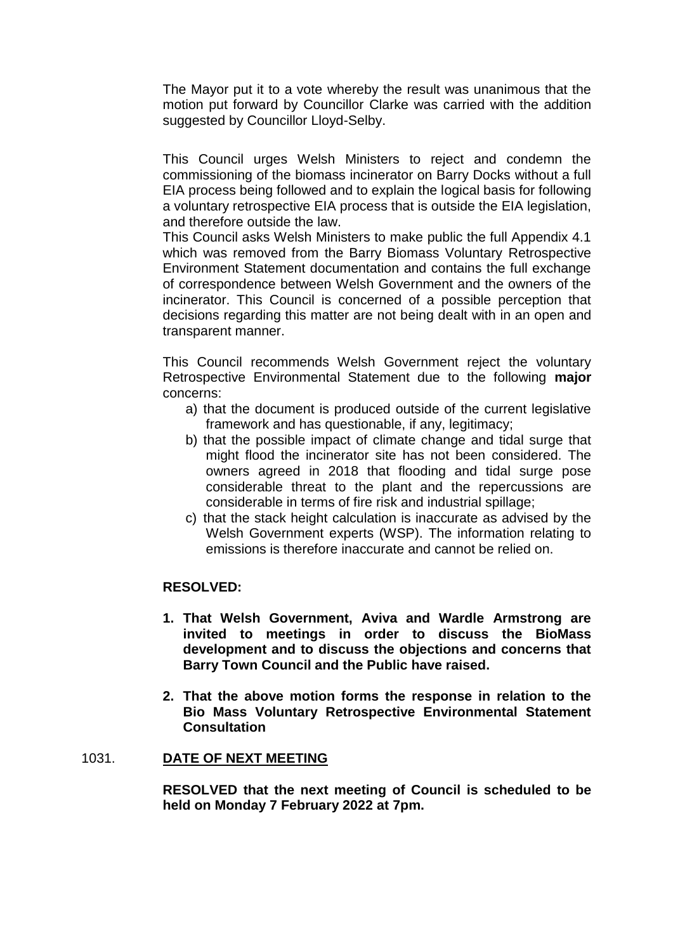The Mayor put it to a vote whereby the result was unanimous that the motion put forward by Councillor Clarke was carried with the addition suggested by Councillor Lloyd-Selby.

This Council urges Welsh Ministers to reject and condemn the commissioning of the biomass incinerator on Barry Docks without a full EIA process being followed and to explain the logical basis for following a voluntary retrospective EIA process that is outside the EIA legislation, and therefore outside the law.

This Council asks Welsh Ministers to make public the full Appendix 4.1 which was removed from the Barry Biomass Voluntary Retrospective Environment Statement documentation and contains the full exchange of correspondence between Welsh Government and the owners of the incinerator. This Council is concerned of a possible perception that decisions regarding this matter are not being dealt with in an open and transparent manner.

This Council recommends Welsh Government reject the voluntary Retrospective Environmental Statement due to the following **major**  concerns:

- a) that the document is produced outside of the current legislative framework and has questionable, if any, legitimacy;
- b) that the possible impact of climate change and tidal surge that might flood the incinerator site has not been considered. The owners agreed in 2018 that flooding and tidal surge pose considerable threat to the plant and the repercussions are considerable in terms of fire risk and industrial spillage;
- c) that the stack height calculation is inaccurate as advised by the Welsh Government experts (WSP). The information relating to emissions is therefore inaccurate and cannot be relied on.

#### **RESOLVED:**

- **1. That Welsh Government, Aviva and Wardle Armstrong are invited to meetings in order to discuss the BioMass development and to discuss the objections and concerns that Barry Town Council and the Public have raised.**
- **2. That the above motion forms the response in relation to the Bio Mass Voluntary Retrospective Environmental Statement Consultation**

#### 1031. **DATE OF NEXT MEETING**

**RESOLVED that the next meeting of Council is scheduled to be held on Monday 7 February 2022 at 7pm.**